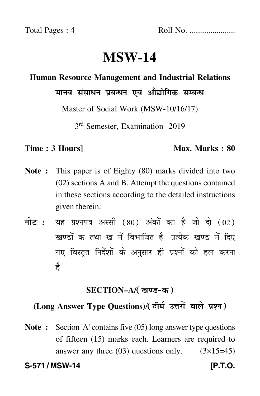# **MSW-14**

## **Human Resource Management and Industrial Relations**

मानव संसाधन प्रबन्धन एवं औद्योगिक सम्बन्ध

Master of Social Work (MSW-10/16/17)

3rd Semester, Examination- 2019

### **Time : 3 Hours]** Max. Marks : 80

- **Note :** This paper is of Eighty (80) marks divided into two (02) sections A and B. Attempt the questions contained in these sections according to the detailed instructions given therein.
- नोट : यह प्रश्नपत्र अस्सी (80) अंकों का है जो दो (02) खण्डों क तथा ख में विभाजित है। प्रत्येक खण्ड में दिए गए विस्तृत निर्देशों के अनुसार ही प्रश्नों को हल करन<mark>ा</mark> है।

# <u>SECTION–A/( खण्ड-क</u> )

# (Long Answer Type Questions)/( दीर्घ उत्तरों वाले प्रश्न )

**Note :** Section 'A' contains five (05) long answer type questions of fifteen (15) marks each. Learners are required to answer any three  $(03)$  questions only.  $(3\times15=45)$ 

**S-571 / MSW-14** *IP.T.O.*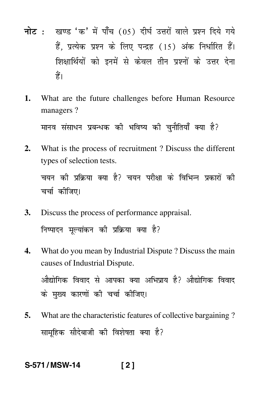- नोट : खण्ड 'क' में पाँच (05) दीर्घ उत्तरों वाले प्रश्न दिये गये हैं, प्रत्येक प्रश्न के लिए पन्द्रह (15) अंक निर्धारित हैं। शिक्षार्थियों को इनमें से केवल तीन प्रश्नों के उत्तर देना हैं।
- 1. What are the future challenges before Human Resource managers?

मानव संसाधन प्रबन्धक की भविष्य की चुनौतियाँ क्या है?

- What is the process of recruitment? Discuss the different  $2.$ types of selection tests. चयन की प्रक्रिया क्या है? चयन परीक्षा के विभिन्न प्रकारों की चर्चा कीजिए।
- Discuss the process of performance appraisal. 3. निष्पादन मूल्यांकन की प्रक्रिया क्या है?
- What do you mean by Industrial Dispute ? Discuss the main  $\mathbf{4}$ . causes of Industrial Dispute. औद्योगिक विवाद से आपका क्या अभिप्राय है? औद्योगिक विवाद के मुख्य कारणों की चर्चा कीजिए।
- 5. What are the characteristic features of collective bargaining? सामहिक सौदेबाजी की विशेषता क्या है?

S-571/MSW-14  $[2]$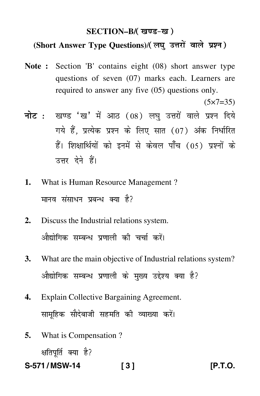# SECTION–B/( खण्ड-ख )

# (Short Answer Type Questions)/(लघु उत्तरों वाले प्रश्न)

- **Note :** Section 'B' contains eight (08) short answer type questions of seven (07) marks each. Learners are required to answer any five (05) questions only.
- <mark>नोट</mark> : खण्ड 'ख' में आठ (08) लघु उत्तरों वाले प्रश्न दिये गये हैं, प्रत्येक प्रश्न के लिए सात (07) अंक निर्धारित हैं। शिक्षार्थियों को इनमें से केवल पाँच (05) प्रश्नों के उत्तर देने हैं।
- **1.** What is Human Resource Management ? मानव संसाधन प्रबन्ध क्या है?
- **2.** Discuss the Industrial relations system. औद्योगिक सम्बन्ध प्रणाली की चर्चा करें। -
- **3.** What are the main objective of Industrial relations system? औद्योगिक सम्बन्ध प्रणाली के मुख्य उद्देश्य क्या है? -
- **4.** Explain Collective Bargaining Agreement. सामूहिक सौदेबाजी सहमति की व्याख्या करें।
- **5.** What is Compensation ? क्षतिपूर्ति क्या है?
- **S-571 / MSW-14 [ 3 ] [P.T.O.**

 $(5 \times 7 = 35)$